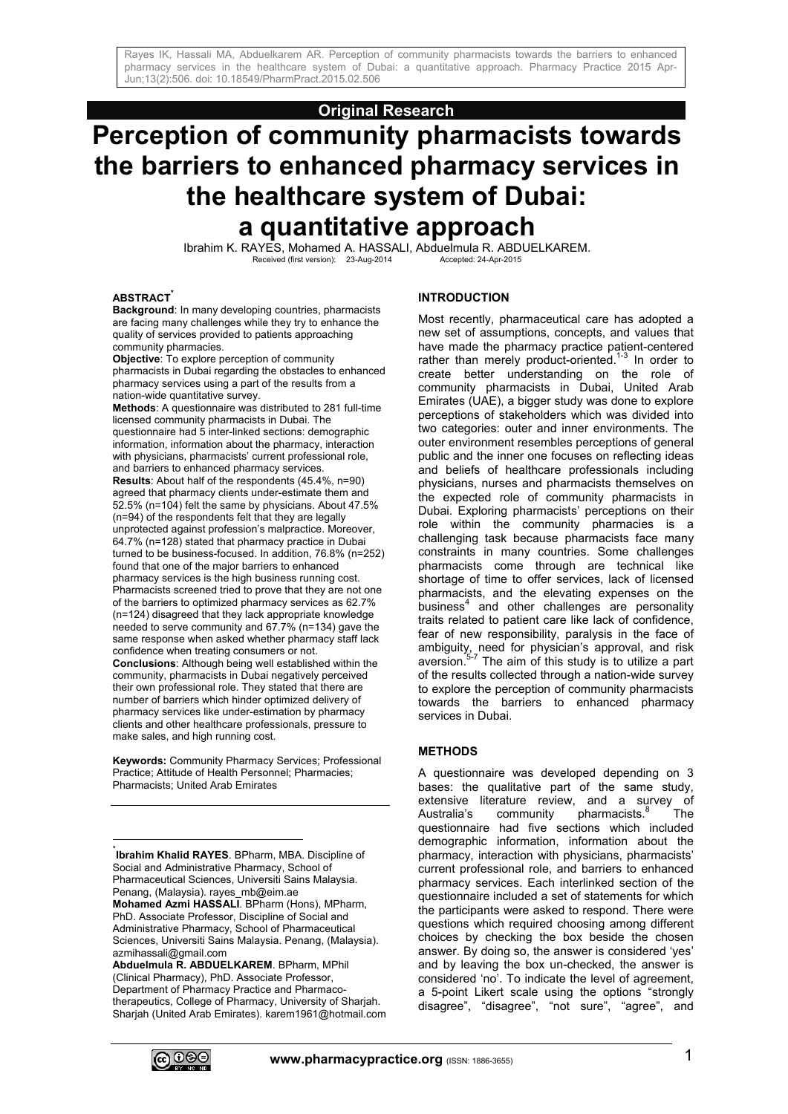# **Original Research**

# **Perception of community pharmacists towards the barriers to enhanced pharmacy services in the healthcare system of Dubai: a quantitative approach**

Ibrahim K. RAYES, Mohamed A. HASSALI, Abduelmula R. ABDUELKAREM.  $Received (first version): 23-Aug-2014$ 

#### **ABSTRACT\***

**Background**: In many developing countries, pharmacists are facing many challenges while they try to enhance the quality of services provided to patients approaching community pharmacies.

**Objective**: To explore perception of community pharmacists in Dubai regarding the obstacles to enhanced pharmacy services using a part of the results from a nation-wide quantitative survey.

**Methods**: A questionnaire was distributed to 281 full-time licensed community pharmacists in Dubai. The questionnaire had 5 inter-linked sections: demographic information, information about the pharmacy, interaction with physicians, pharmacists' current professional role, and barriers to enhanced pharmacy services.

**Results**: About half of the respondents (45.4%, n=90) agreed that pharmacy clients under-estimate them and 52.5% (n=104) felt the same by physicians. About 47.5% (n=94) of the respondents felt that they are legally unprotected against profession's malpractice. Moreover, 64.7% (n=128) stated that pharmacy practice in Dubai turned to be business-focused. In addition, 76.8% (n=252) found that one of the major barriers to enhanced pharmacy services is the high business running cost. Pharmacists screened tried to prove that they are not one of the barriers to optimized pharmacy services as 62.7% (n=124) disagreed that they lack appropriate knowledge needed to serve community and 67.7% (n=134) gave the same response when asked whether pharmacy staff lack confidence when treating consumers or not. **Conclusions**: Although being well established within the community, pharmacists in Dubai negatively perceived their own professional role. They stated that there are number of barriers which hinder optimized delivery of pharmacy services like under-estimation by pharmacy clients and other healthcare professionals, pressure to make sales, and high running cost.

**Keywords:** Community Pharmacy Services; Professional Practice; Attitude of Health Personnel; Pharmacies; Pharmacists; United Arab Emirates

\* **Ibrahim Khalid RAYES**. BPharm, MBA. Discipline of Social and Administrative Pharmacy, School of Pharmaceutical Sciences, Universiti Sains Malaysia. Penang, (Malaysia). rayes\_mb@eim.ae **Mohamed Azmi HASSALI**. BPharm (Hons), MPharm, PhD. Associate Professor, Discipline of Social and Administrative Pharmacy, School of Pharmaceutical Sciences, Universiti Sains Malaysia. Penang, (Malaysia). azmihassali@gmail.com

**Abduelmula R. ABDUELKAREM**. BPharm, MPhil (Clinical Pharmacy), PhD. Associate Professor, Department of Pharmacy Practice and Pharmacotherapeutics, College of Pharmacy, University of Sharjah. Sharjah (United Arab Emirates). karem1961@hotmail.com

## **INTRODUCTION**

Most recently, pharmaceutical care has adopted a new set of assumptions, concepts, and values that have made the pharmacy practice patient-centered rather than merely product-oriented.<sup>1-3</sup> In order to create better understanding on the role of community pharmacists in Dubai, United Arab Emirates (UAE), a bigger study was done to explore perceptions of stakeholders which was divided into two categories: outer and inner environments. The outer environment resembles perceptions of general public and the inner one focuses on reflecting ideas and beliefs of healthcare professionals including physicians, nurses and pharmacists themselves on the expected role of community pharmacists in Dubai. Exploring pharmacists' perceptions on their role within the community pharmacies is a challenging task because pharmacists face many constraints in many countries. Some challenges pharmacists come through are technical like shortage of time to offer services, lack of licensed pharmacists, and the elevating expenses on the business<sup>4</sup> and other challenges are personality traits related to patient care like lack of confidence, fear of new responsibility, paralysis in the face of ambiguity, need for physician's approval, and risk aversion.<sup>5-7</sup> The aim of this study is to utilize a part of the results collected through a nation-wide survey to explore the perception of community pharmacists towards the barriers to enhanced pharmacy services in Dubai.

#### **METHODS**

A questionnaire was developed depending on 3 bases: the qualitative part of the same study, extensive literature review, and a survey of Australia's community pharmacists.<sup>8</sup> The questionnaire had five sections which included demographic information, information about the pharmacy, interaction with physicians, pharmacists' current professional role, and barriers to enhanced pharmacy services. Each interlinked section of the questionnaire included a set of statements for which the participants were asked to respond. There were questions which required choosing among different choices by checking the box beside the chosen answer. By doing so, the answer is considered 'yes' and by leaving the box un-checked, the answer is considered 'no'. To indicate the level of agreement, a 5-point Likert scale using the options "strongly disagree", "disagree", "not sure", "agree", and



 $\frac{1}{2}$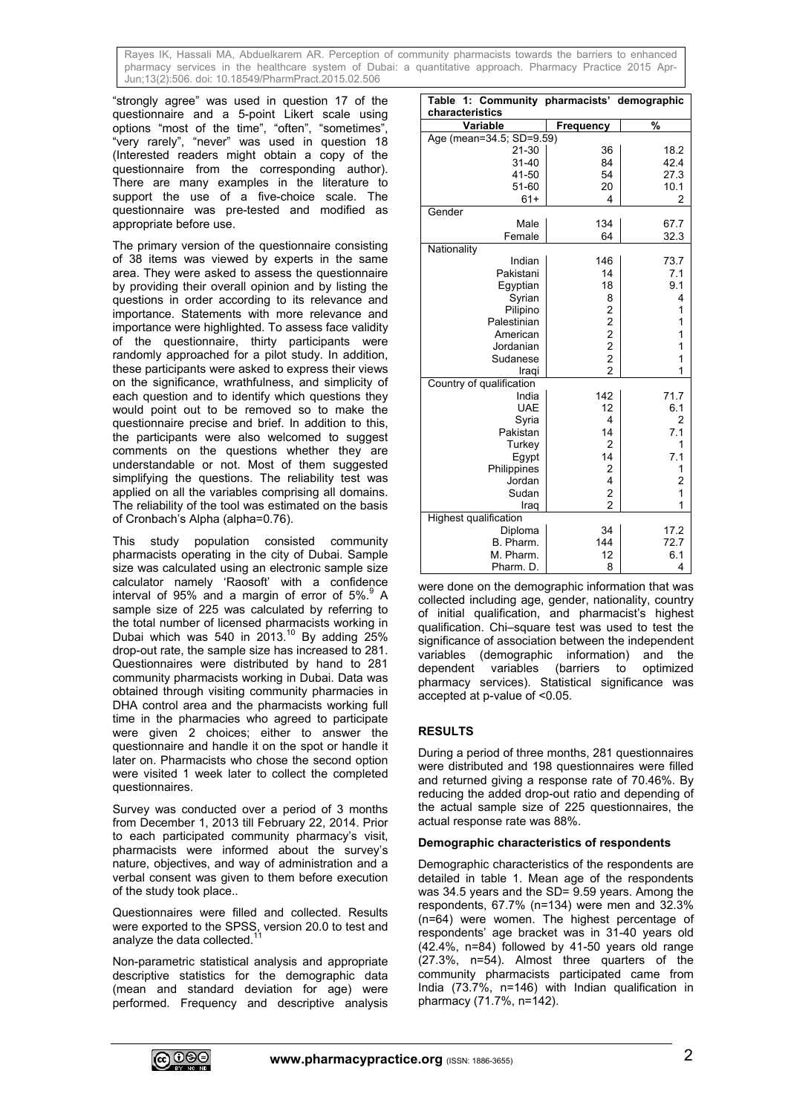"strongly agree" was used in question 17 of the questionnaire and a 5-point Likert scale using options "most of the time", "often", "sometimes", "very rarely", "never" was used in question 18 (Interested readers might obtain a copy of the questionnaire from the corresponding author). There are many examples in the literature to support the use of a five-choice scale. The questionnaire was pre-tested and modified as appropriate before use.

The primary version of the questionnaire consisting of 38 items was viewed by experts in the same area. They were asked to assess the questionnaire by providing their overall opinion and by listing the questions in order according to its relevance and importance. Statements with more relevance and importance were highlighted. To assess face validity of the questionnaire, thirty participants were randomly approached for a pilot study. In addition, these participants were asked to express their views on the significance, wrathfulness, and simplicity of each question and to identify which questions they would point out to be removed so to make the questionnaire precise and brief. In addition to this, the participants were also welcomed to suggest comments on the questions whether they are understandable or not. Most of them suggested simplifying the questions. The reliability test was applied on all the variables comprising all domains. The reliability of the tool was estimated on the basis of Cronbach's Alpha (alpha=0.76).

This study population consisted community pharmacists operating in the city of Dubai. Sample size was calculated using an electronic sample size calculator namely 'Raosoft' with a confidence interval of 95% and a margin of error of  $5\%$ . A sample size of 225 was calculated by referring to the total number of licensed pharmacists working in Dubai which was 540 in  $2013$ .<sup>10</sup> By adding  $25\%$ drop-out rate, the sample size has increased to 281. Questionnaires were distributed by hand to 281 community pharmacists working in Dubai. Data was obtained through visiting community pharmacies in DHA control area and the pharmacists working full time in the pharmacies who agreed to participate were given 2 choices; either to answer the questionnaire and handle it on the spot or handle it later on. Pharmacists who chose the second option were visited 1 week later to collect the completed questionnaires.

Survey was conducted over a period of 3 months from December 1, 2013 till February 22, 2014. Prior to each participated community pharmacy's visit, pharmacists were informed about the survey's nature, objectives, and way of administration and a verbal consent was given to them before execution of the study took place..

Questionnaires were filled and collected. Results were exported to the SPSS, version 20.0 to test and analyze the data collected.<sup>11</sup>

Non-parametric statistical analysis and appropriate descriptive statistics for the demographic data (mean and standard deviation for age) were performed. Frequency and descriptive analysis

| <b>Table</b><br>1:<br>characteristics | Community pharmacists' demographic |                         |  |  |  |  |  |
|---------------------------------------|------------------------------------|-------------------------|--|--|--|--|--|
| Variable                              | <b>Frequency</b>                   | $\frac{9}{6}$           |  |  |  |  |  |
| Age (mean=34.5; SD=9.59)              |                                    |                         |  |  |  |  |  |
| $21 - 30$                             | 36                                 | 18.2                    |  |  |  |  |  |
| $31 - 40$                             | 84                                 | 42.4                    |  |  |  |  |  |
| 41-50                                 | 54                                 | 27.3                    |  |  |  |  |  |
| 51-60                                 | 20                                 | 10.1                    |  |  |  |  |  |
| $61+$                                 | 4                                  | 2                       |  |  |  |  |  |
| Gender                                |                                    |                         |  |  |  |  |  |
| Male                                  | 134                                | 67.7                    |  |  |  |  |  |
| Female                                | 64                                 | 32.3                    |  |  |  |  |  |
| Nationality                           |                                    |                         |  |  |  |  |  |
| Indian                                | 146                                | 73.7                    |  |  |  |  |  |
| Pakistani                             | 14                                 | 7.1                     |  |  |  |  |  |
| Egyptian                              | 18                                 | 9.1                     |  |  |  |  |  |
| Syrian                                | 8                                  | 4                       |  |  |  |  |  |
| Pilipino                              |                                    | 1                       |  |  |  |  |  |
| Palestinian                           |                                    | 1                       |  |  |  |  |  |
| American                              | 22222                              | 1                       |  |  |  |  |  |
| Jordanian                             |                                    | 1                       |  |  |  |  |  |
| Sudanese                              |                                    | 1                       |  |  |  |  |  |
| Iraqi                                 |                                    | 1                       |  |  |  |  |  |
| Country of qualification              |                                    |                         |  |  |  |  |  |
| India                                 | 142                                | 71.7                    |  |  |  |  |  |
| <b>UAE</b>                            | 12                                 | 6.1                     |  |  |  |  |  |
| Syria                                 | 4                                  | $\overline{2}$          |  |  |  |  |  |
| Pakistan                              | 14                                 | 7.1                     |  |  |  |  |  |
| Turkey                                | $\overline{2}$                     | 1                       |  |  |  |  |  |
| Egypt                                 | 14                                 | 7.1                     |  |  |  |  |  |
| Philippines                           | 2                                  | 1                       |  |  |  |  |  |
| Jordan                                | 4                                  | $\overline{\mathbf{c}}$ |  |  |  |  |  |
| Sudan                                 | 2                                  | 1                       |  |  |  |  |  |
| Iraq                                  | $\overline{2}$                     | 1                       |  |  |  |  |  |
| Highest qualification                 |                                    |                         |  |  |  |  |  |
| Diploma                               | 34                                 | 17.2                    |  |  |  |  |  |
| B. Pharm.                             | 144                                | 72.7                    |  |  |  |  |  |
| M. Pharm.                             | 12                                 | 6.1                     |  |  |  |  |  |
| Pharm. D.                             | 8                                  | 4                       |  |  |  |  |  |

were done on the demographic information that was collected including age, gender, nationality, country of initial qualification, and pharmacist's highest qualification. Chi–square test was used to test the significance of association between the independent variables (demographic information) and the dependent variables (barriers to optimized pharmacy services). Statistical significance was accepted at p-value of <0.05.

# **RESULTS**

During a period of three months, 281 questionnaires were distributed and 198 questionnaires were filled and returned giving a response rate of 70.46%. By reducing the added drop-out ratio and depending of the actual sample size of 225 questionnaires, the actual response rate was 88%.

#### **Demographic characteristics of respondents**

Demographic characteristics of the respondents are detailed in table 1. Mean age of the respondents was 34.5 years and the SD= 9.59 years. Among the respondents, 67.7% (n=134) were men and 32.3% (n=64) were women. The highest percentage of respondents' age bracket was in 31-40 years old (42.4%, n=84) followed by 41-50 years old range (27.3%, n=54). Almost three quarters of the community pharmacists participated came from India (73.7%, n=146) with Indian qualification in pharmacy (71.7%, n=142).

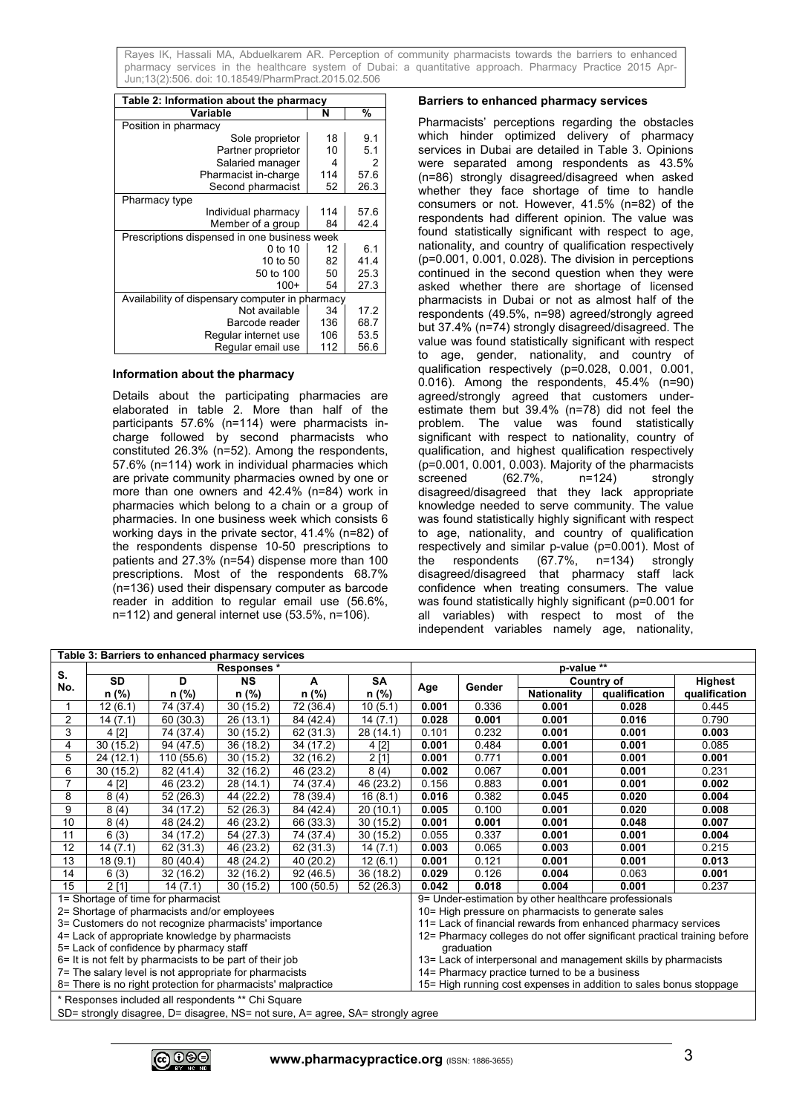| Table 2: Information about the pharmacy         |     |      |  |  |  |  |  |
|-------------------------------------------------|-----|------|--|--|--|--|--|
| Variable                                        | N   | %    |  |  |  |  |  |
| Position in pharmacy                            |     |      |  |  |  |  |  |
| Sole proprietor                                 | 18  | 9.1  |  |  |  |  |  |
| Partner proprietor                              | 10  | 5.1  |  |  |  |  |  |
| Salaried manager                                | 4   | 2    |  |  |  |  |  |
| Pharmacist in-charge                            | 114 | 57.6 |  |  |  |  |  |
| Second pharmacist                               | 52  | 26.3 |  |  |  |  |  |
| Pharmacy type                                   |     |      |  |  |  |  |  |
| Individual pharmacy                             | 114 | 57.6 |  |  |  |  |  |
| Member of a group                               | 84  | 42.4 |  |  |  |  |  |
| Prescriptions dispensed in one business week    |     |      |  |  |  |  |  |
| 0 to 10                                         | 12  | 6.1  |  |  |  |  |  |
| 10 to 50                                        | 82  | 41.4 |  |  |  |  |  |
| 50 to 100                                       | 50  | 25.3 |  |  |  |  |  |
| $100+$                                          | 54  | 27.3 |  |  |  |  |  |
| Availability of dispensary computer in pharmacy |     |      |  |  |  |  |  |
| Not available                                   | 34  | 17.2 |  |  |  |  |  |
| Barcode reader                                  | 136 | 68.7 |  |  |  |  |  |
| Regular internet use                            | 106 | 53.5 |  |  |  |  |  |
| Regular email use                               | 112 | 56.6 |  |  |  |  |  |

#### **Information about the pharmacy**

Details about the participating pharmacies are elaborated in table 2. More than half of the participants 57.6% (n=114) were pharmacists incharge followed by second pharmacists who constituted 26.3% (n=52). Among the respondents, 57.6% (n=114) work in individual pharmacies which are private community pharmacies owned by one or more than one owners and 42.4% (n=84) work in pharmacies which belong to a chain or a group of pharmacies. In one business week which consists 6 working days in the private sector, 41.4% (n=82) of the respondents dispense 10-50 prescriptions to patients and 27.3% (n=54) dispense more than 100 prescriptions. Most of the respondents 68.7% (n=136) used their dispensary computer as barcode reader in addition to regular email use (56.6%, n=112) and general internet use (53.5%, n=106).

#### **Barriers to enhanced pharmacy services**

Pharmacists' perceptions regarding the obstacles which hinder optimized delivery of pharmacy services in Dubai are detailed in Table 3. Opinions were separated among respondents as 43.5% (n=86) strongly disagreed/disagreed when asked whether they face shortage of time to handle consumers or not. However, 41.5% (n=82) of the respondents had different opinion. The value was found statistically significant with respect to age, nationality, and country of qualification respectively (p=0.001, 0.001, 0.028). The division in perceptions continued in the second question when they were asked whether there are shortage of licensed pharmacists in Dubai or not as almost half of the respondents (49.5%, n=98) agreed/strongly agreed but 37.4% (n=74) strongly disagreed/disagreed. The value was found statistically significant with respect to age, gender, nationality, and country of qualification respectively (p=0.028, 0.001, 0.001, 0.016). Among the respondents, 45.4% (n=90) agreed/strongly agreed that customers underestimate them but 39.4% (n=78) did not feel the problem. The value was found statistically significant with respect to nationality, country of qualification, and highest qualification respectively (p=0.001, 0.001, 0.003). Majority of the pharmacists screened (62.7%, n=124) strongly disagreed/disagreed that they lack appropriate knowledge needed to serve community. The value was found statistically highly significant with respect to age, nationality, and country of qualification respectively and similar p-value (p=0.001). Most of<br>the respondents (67.7%, n=134) strongly  $n = 134$  strongly disagreed/disagreed that pharmacy staff lack confidence when treating consumers. The value was found statistically highly significant (p=0.001 for all variables) with respect to most of the independent variables namely age, nationality,

| Table 3: Barriers to enhanced pharmacy services                                |                                                    |            |           |                                                                 |                                                                    |                                                                          |        |                    |               |               |
|--------------------------------------------------------------------------------|----------------------------------------------------|------------|-----------|-----------------------------------------------------------------|--------------------------------------------------------------------|--------------------------------------------------------------------------|--------|--------------------|---------------|---------------|
|                                                                                | Responses*                                         |            |           |                                                                 | p-value **                                                         |                                                                          |        |                    |               |               |
| S.<br>No.                                                                      | <b>SD</b>                                          | D          | <b>NS</b> | A                                                               | <b>SA</b>                                                          |                                                                          | Gender |                    | Country of    | Highest       |
|                                                                                | n (%)                                              | n (%)      | n (%)     | n (%)                                                           | n (%)                                                              | Age                                                                      |        | <b>Nationality</b> | qualification | qualification |
|                                                                                | 12(6.1)                                            | 74 (37.4)  | 30(15.2)  | 72 (36.4)                                                       | 10(5.1)                                                            | 0.001                                                                    | 0.336  | 0.001              | 0.028         | 0.445         |
| $\overline{2}$                                                                 | 14(7.1)                                            | 60 (30.3)  | 26(13.1)  | 84 (42.4)                                                       | 14(7.1)                                                            | 0.028                                                                    | 0.001  | 0.001              | 0.016         | 0.790         |
| 3                                                                              | 4 [2]                                              | 74 (37.4)  | 30(15.2)  | 62 (31.3)                                                       | 28 (14.1)                                                          | 0.101                                                                    | 0.232  | 0.001              | 0.001         | 0.003         |
| 4                                                                              | 30(15.2)                                           | 94 (47.5)  | 36(18.2)  | 34 (17.2)                                                       | 4 [2]                                                              | 0.001                                                                    | 0.484  | 0.001              | 0.001         | 0.085         |
| 5                                                                              | 24(12.1)                                           | 110 (55.6) | 30(15.2)  | 32(16.2)                                                        | 2[1]                                                               | 0.001                                                                    | 0.771  | 0.001              | 0.001         | 0.001         |
| 6                                                                              | 30(15.2)                                           | 82 (41.4)  | 32(16.2)  | 46 (23.2)                                                       | 8(4)                                                               | 0.002                                                                    | 0.067  | 0.001              | 0.001         | 0.231         |
|                                                                                | 4 [2]                                              | 46 (23.2)  | 28 (14.1) | 74 (37.4)                                                       | 46 (23.2)                                                          | 0.156                                                                    | 0.883  | 0.001              | 0.001         | 0.002         |
| 8                                                                              | 8(4)                                               | 52 (26.3)  | 44 (22.2) | 78 (39.4)                                                       | 16(8.1)                                                            | 0.016                                                                    | 0.382  | 0.045              | 0.020         | 0.004         |
| 9                                                                              | 8(4)                                               | 34 (17.2)  | 52(26.3)  | 84 (42.4)                                                       | 20(10.1)                                                           | 0.005                                                                    | 0.100  | 0.001              | 0.020         | 0.008         |
| 10                                                                             | 8(4)                                               | 48 (24.2)  | 46 (23.2) | 66 (33.3)                                                       | 30(15.2)                                                           | 0.001                                                                    | 0.001  | 0.001              | 0.048         | 0.007         |
| 11                                                                             | 6(3)                                               | 34 (17.2)  | 54 (27.3) | 74 (37.4)                                                       | 30(15.2)                                                           | 0.055                                                                    | 0.337  | 0.001              | 0.001         | 0.004         |
| 12                                                                             | 14(7.1)                                            | 62 (31.3)  | 46 (23.2) | 62 (31.3)                                                       | 14(7.1)                                                            | 0.003                                                                    | 0.065  | 0.003              | 0.001         | 0.215         |
| 13                                                                             | 18(9.1)                                            | 80 (40.4)  | 48 (24.2) | 40 (20.2)                                                       | 12(6.1)                                                            | 0.001                                                                    | 0.121  | 0.001              | 0.001         | 0.013         |
| 14                                                                             | 6(3)                                               | 32 (16.2)  | 32(16.2)  | 92(46.5)                                                        | 36 (18.2)                                                          | 0.029                                                                    | 0.126  | 0.004              | 0.063         | 0.001         |
| 15                                                                             | 2 [1]                                              | 14(7.1)    | 30(15.2)  | 100(50.5)                                                       | 52 (26.3)                                                          | 0.042                                                                    | 0.018  | 0.004              | 0.001         | 0.237         |
| 1= Shortage of time for pharmacist                                             |                                                    |            |           |                                                                 |                                                                    | 9= Under-estimation by other healthcare professionals                    |        |                    |               |               |
| 2= Shortage of pharmacists and/or employees                                    |                                                    |            |           |                                                                 | 10= High pressure on pharmacists to generate sales                 |                                                                          |        |                    |               |               |
| 3= Customers do not recognize pharmacists' importance                          |                                                    |            |           | 11= Lack of financial rewards from enhanced pharmacy services   |                                                                    |                                                                          |        |                    |               |               |
|                                                                                | 4= Lack of appropriate knowledge by pharmacists    |            |           |                                                                 |                                                                    | 12= Pharmacy colleges do not offer significant practical training before |        |                    |               |               |
| 5= Lack of confidence by pharmacy staff                                        |                                                    |            |           | graduation                                                      |                                                                    |                                                                          |        |                    |               |               |
| 6= It is not felt by pharmacists to be part of their job                       |                                                    |            |           | 13 = Lack of interpersonal and management skills by pharmacists |                                                                    |                                                                          |        |                    |               |               |
| 7= The salary level is not appropriate for pharmacists                         |                                                    |            |           | 14= Pharmacy practice turned to be a business                   |                                                                    |                                                                          |        |                    |               |               |
| 8= There is no right protection for pharmacists' malpractice                   |                                                    |            |           |                                                                 | 15= High running cost expenses in addition to sales bonus stoppage |                                                                          |        |                    |               |               |
|                                                                                | * Responses included all respondents ** Chi Square |            |           |                                                                 |                                                                    |                                                                          |        |                    |               |               |
| SD= strongly disagree, D= disagree, NS= not sure, A= agree, SA= strongly agree |                                                    |            |           |                                                                 |                                                                    |                                                                          |        |                    |               |               |

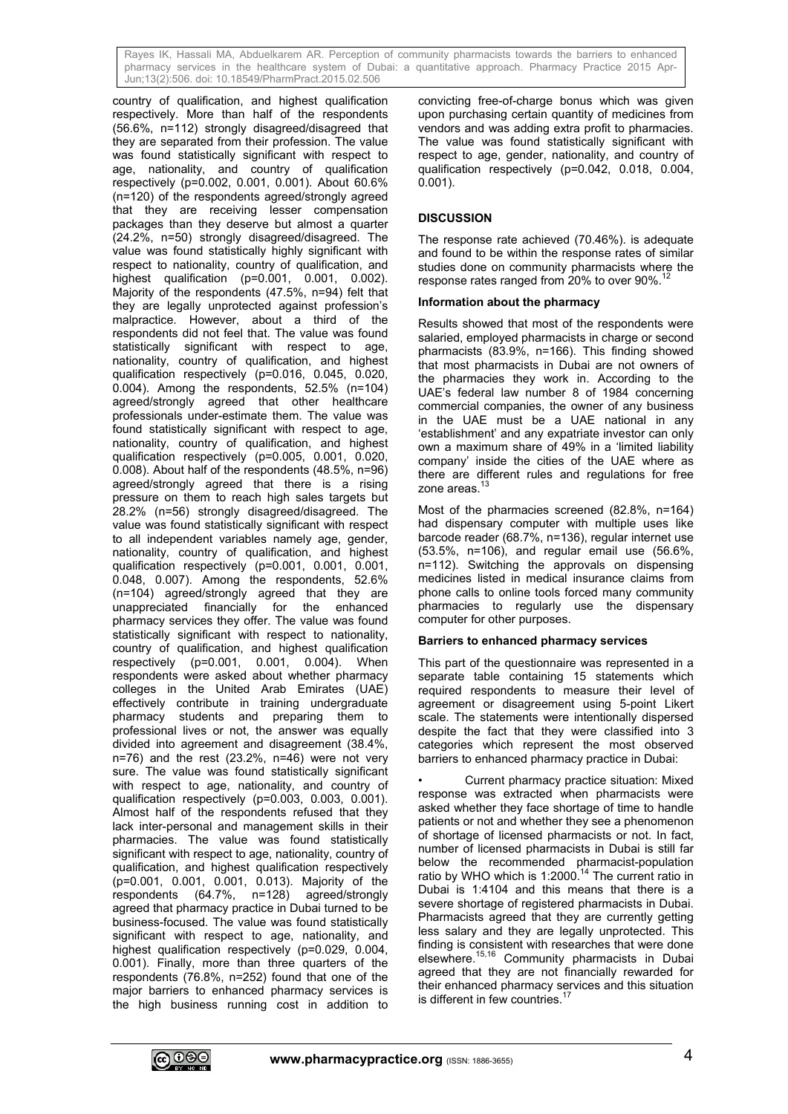country of qualification, and highest qualification respectively. More than half of the respondents (56.6%, n=112) strongly disagreed/disagreed that they are separated from their profession. The value was found statistically significant with respect to age, nationality, and country of qualification respectively (p=0.002, 0.001, 0.001). About 60.6% (n=120) of the respondents agreed/strongly agreed that they are receiving lesser compensation packages than they deserve but almost a quarter (24.2%, n=50) strongly disagreed/disagreed. The value was found statistically highly significant with respect to nationality, country of qualification, and highest qualification (p=0.001, 0.001, 0.002). Majority of the respondents (47.5%, n=94) felt that they are legally unprotected against profession's malpractice. However, about a third of the respondents did not feel that. The value was found statistically significant with respect to age, nationality, country of qualification, and highest qualification respectively (p=0.016, 0.045, 0.020, 0.004). Among the respondents, 52.5% (n=104) agreed/strongly agreed that other healthcare professionals under-estimate them. The value was found statistically significant with respect to age, nationality, country of qualification, and highest qualification respectively (p=0.005, 0.001, 0.020, 0.008). About half of the respondents (48.5%, n=96) agreed/strongly agreed that there is a rising pressure on them to reach high sales targets but 28.2% (n=56) strongly disagreed/disagreed. The value was found statistically significant with respect to all independent variables namely age, gender, nationality, country of qualification, and highest qualification respectively (p=0.001, 0.001, 0.001, 0.048, 0.007). Among the respondents, 52.6% (n=104) agreed/strongly agreed that they are unappreciated financially for the enhanced pharmacy services they offer. The value was found statistically significant with respect to nationality, country of qualification, and highest qualification respectively (p=0.001, 0.001, 0.004). When respondents were asked about whether pharmacy colleges in the United Arab Emirates (UAE) effectively contribute in training undergraduate pharmacy students and preparing them to professional lives or not, the answer was equally divided into agreement and disagreement (38.4%,  $n=76$ ) and the rest (23.2%,  $n=46$ ) were not very sure. The value was found statistically significant with respect to age, nationality, and country of qualification respectively (p=0.003, 0.003, 0.001). Almost half of the respondents refused that they lack inter-personal and management skills in their pharmacies. The value was found statistically significant with respect to age, nationality, country of qualification, and highest qualification respectively (p=0.001, 0.001, 0.001, 0.013). Majority of the respondents (64.7%, n=128) agreed/strongly agreed that pharmacy practice in Dubai turned to be business-focused. The value was found statistically significant with respect to age, nationality, and highest qualification respectively (p=0.029, 0.004, 0.001). Finally, more than three quarters of the respondents (76.8%, n=252) found that one of the major barriers to enhanced pharmacy services is the high business running cost in addition to

convicting free-of-charge bonus which was given upon purchasing certain quantity of medicines from vendors and was adding extra profit to pharmacies. The value was found statistically significant with respect to age, gender, nationality, and country of qualification respectively (p=0.042, 0.018, 0.004, 0.001).

### **DISCUSSION**

The response rate achieved (70.46%). is adequate and found to be within the response rates of similar studies done on community pharmacists where the response rates ranged from 20% to over 90%.

#### **Information about the pharmacy**

Results showed that most of the respondents were salaried, employed pharmacists in charge or second pharmacists (83.9%, n=166). This finding showed that most pharmacists in Dubai are not owners of the pharmacies they work in. According to the UAE's federal law number 8 of 1984 concerning commercial companies, the owner of any business in the UAE must be a UAE national in any 'establishment' and any expatriate investor can only own a maximum share of 49% in a 'limited liability company' inside the cities of the UAE where as there are different rules and regulations for free zone areas.<sup>13</sup>

Most of the pharmacies screened (82.8%, n=164) had dispensary computer with multiple uses like barcode reader (68.7%, n=136), regular internet use (53.5%, n=106), and regular email use (56.6%, n=112). Switching the approvals on dispensing medicines listed in medical insurance claims from phone calls to online tools forced many community pharmacies to regularly use the dispensary computer for other purposes.

#### **Barriers to enhanced pharmacy services**

This part of the questionnaire was represented in a separate table containing 15 statements which required respondents to measure their level of agreement or disagreement using 5-point Likert scale. The statements were intentionally dispersed despite the fact that they were classified into 3 categories which represent the most observed barriers to enhanced pharmacy practice in Dubai:

Current pharmacy practice situation: Mixed response was extracted when pharmacists were asked whether they face shortage of time to handle patients or not and whether they see a phenomenon of shortage of licensed pharmacists or not. In fact, number of licensed pharmacists in Dubai is still far below the recommended pharmacist-population ratio by WHO which is 1:2000.<sup>14</sup> The current ratio in Dubai is 1:4104 and this means that there is a severe shortage of registered pharmacists in Dubai. Pharmacists agreed that they are currently getting less salary and they are legally unprotected. This finding is consistent with researches that were done elsewhere.15,16 Community pharmacists in Dubai agreed that they are not financially rewarded for their enhanced pharmacy services and this situation is different in few countries.<sup>17</sup>

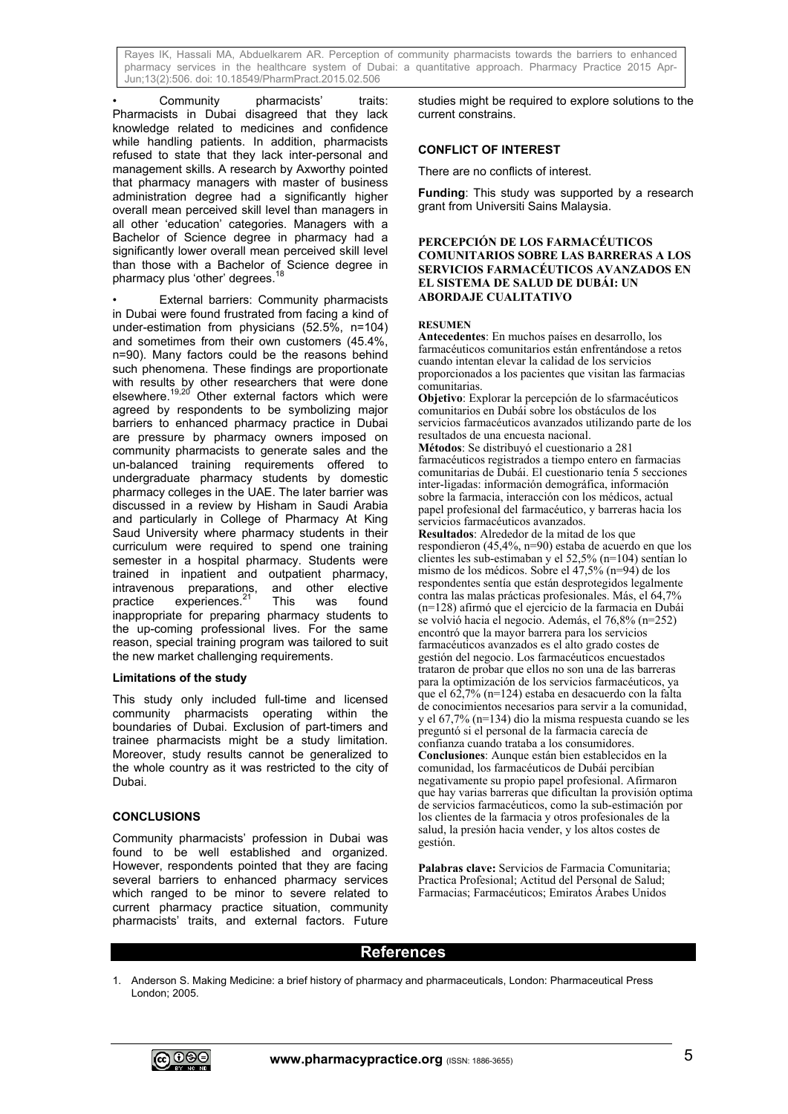Community pharmacists' traits: Pharmacists in Dubai disagreed that they lack knowledge related to medicines and confidence while handling patients. In addition, pharmacists refused to state that they lack inter-personal and management skills. A research by Axworthy pointed that pharmacy managers with master of business administration degree had a significantly higher overall mean perceived skill level than managers in all other 'education' categories. Managers with a Bachelor of Science degree in pharmacy had a significantly lower overall mean perceived skill level than those with a Bachelor of Science degree in pharmacy plus 'other' degrees.<sup>18</sup>

External barriers: Community pharmacists in Dubai were found frustrated from facing a kind of under-estimation from physicians (52.5%, n=104) and sometimes from their own customers (45.4%, n=90). Many factors could be the reasons behind such phenomena. These findings are proportionate with results by other researchers that were done elsewhere.<sup>19,20</sup> Other external factors which were agreed by respondents to be symbolizing major barriers to enhanced pharmacy practice in Dubai are pressure by pharmacy owners imposed on community pharmacists to generate sales and the un-balanced training requirements offered to undergraduate pharmacy students by domestic pharmacy colleges in the UAE. The later barrier was discussed in a review by Hisham in Saudi Arabia and particularly in College of Pharmacy At King Saud University where pharmacy students in their curriculum were required to spend one training semester in a hospital pharmacy. Students were trained in inpatient and outpatient pharmacy, intravenous preparations, and other elective practice experiences.<sup>21</sup> This was found inappropriate for preparing pharmacy students to the up-coming professional lives. For the same reason, special training program was tailored to suit the new market challenging requirements.

#### **Limitations of the study**

This study only included full-time and licensed community pharmacists operating within the boundaries of Dubai. Exclusion of part-timers and trainee pharmacists might be a study limitation. Moreover, study results cannot be generalized to the whole country as it was restricted to the city of Dubai.

## **CONCLUSIONS**

Community pharmacists' profession in Dubai was found to be well established and organized. However, respondents pointed that they are facing several barriers to enhanced pharmacy services which ranged to be minor to severe related to current pharmacy practice situation, community pharmacists' traits, and external factors. Future

studies might be required to explore solutions to the current constrains.

### **CONFLICT OF INTEREST**

There are no conflicts of interest.

**Funding**: This study was supported by a research grant from Universiti Sains Malaysia.

#### **PERCEPCIÓN DE LOS FARMACÉUTICOS COMUNITARIOS SOBRE LAS BARRERAS A LOS SERVICIOS FARMACÉUTICOS AVANZADOS EN EL SISTEMA DE SALUD DE DUBÁI: UN ABORDAJE CUALITATIVO**

#### **RESUMEN**

**Antecedentes**: En muchos países en desarrollo, los farmacéuticos comunitarios están enfrentándose a retos cuando intentan elevar la calidad de los servicios proporcionados a los pacientes que visitan las farmacias comunitarias.

**Objetivo**: Explorar la percepción de lo sfarmacéuticos comunitarios en Dubái sobre los obstáculos de los servicios farmacéuticos avanzados utilizando parte de los resultados de una encuesta nacional.

**Métodos**: Se distribuyó el cuestionario a 281 farmacéuticos registrados a tiempo entero en farmacias comunitarias de Dubái. El cuestionario tenía 5 secciones inter-ligadas: información demográfica, información sobre la farmacia, interacción con los médicos, actual papel profesional del farmacéutico, y barreras hacia los servicios farmacéuticos avanzados.

**Resultados**: Alrededor de la mitad de los que respondieron (45,4%, n=90) estaba de acuerdo en que los clientes les sub-estimaban y el 52,5% (n=104) sentían lo mismo de los médicos. Sobre el 47,5% (n=94) de los respondentes sentía que están desprotegidos legalmente contra las malas prácticas profesionales. Más, el 64,7% (n=128) afirmó que el ejercicio de la farmacia en Dubái se volvió hacia el negocio. Además, el 76,8% (n=252) encontró que la mayor barrera para los servicios farmacéuticos avanzados es el alto grado costes de gestión del negocio. Los farmacéuticos encuestados trataron de probar que ellos no son una de las barreras para la optimización de los servicios farmacéuticos, ya que el  $62,7\%$  (n=124) estaba en desacuerdo con la falta de conocimientos necesarios para servir a la comunidad, y el 67,7% (n=134) dio la misma respuesta cuando se les preguntó si el personal de la farmacia carecía de confianza cuando trataba a los consumidores. **Conclusiones**: Aunque están bien establecidos en la comunidad, los farmacéuticos de Dubái percibían negativamente su propio papel profesional. Afirmaron que hay varias barreras que dificultan la provisión optima de servicios farmacéuticos, como la sub-estimación por los clientes de la farmacia y otros profesionales de la salud, la presión hacia vender, y los altos costes de gestión.

**Palabras clave:** Servicios de Farmacia Comunitaria; Practica Profesional; Actitud del Personal de Salud; Farmacias; Farmacéuticos; Emiratos Árabes Unidos

# **References**

1. Anderson S. Making Medicine: a brief history of pharmacy and pharmaceuticals, London: Pharmaceutical Press London; 2005.